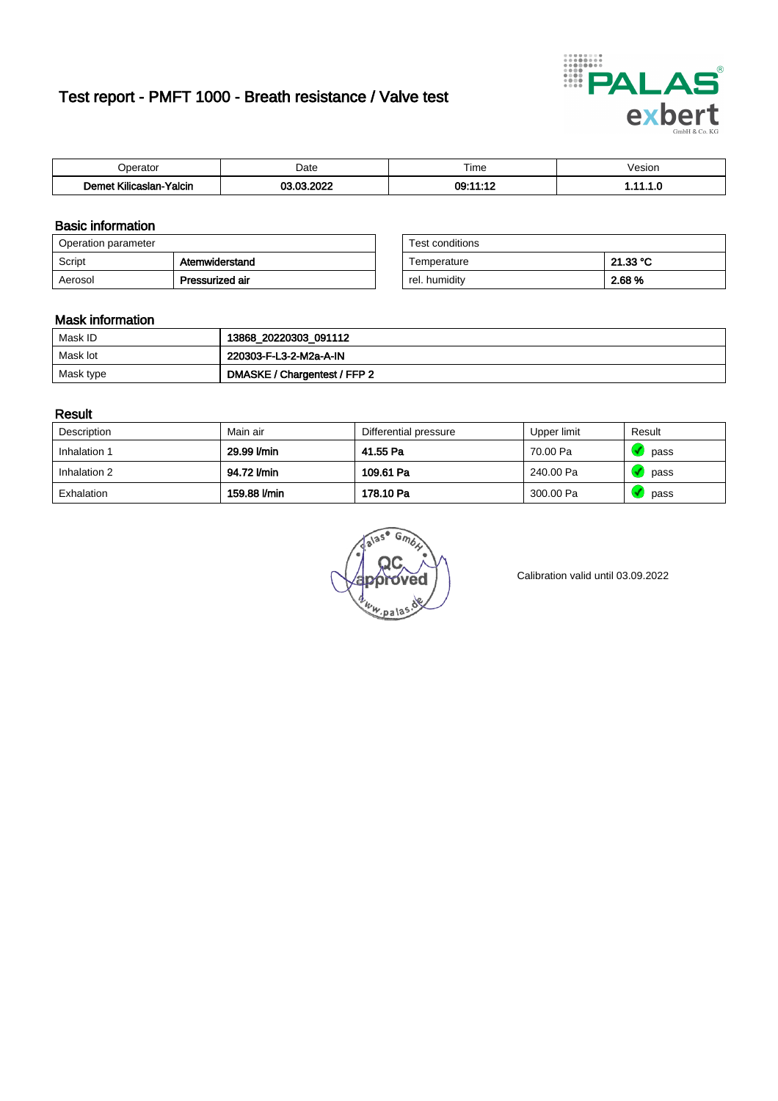# Test report - PMFT 1000 - Breath resistance / Valve test



| maxima                       | Date | $- \cdot$<br>Time<br>. | /esion<br>. |
|------------------------------|------|------------------------|-------------|
| .<br>Yalcin<br>ıslan<br>ulic | COD. | $-10$<br>ົດ            | .           |

### Basic information

| Operation parameter |                 | Test conditions |          |
|---------------------|-----------------|-----------------|----------|
| Script              | Atemwiderstand  | Temperature     | 21.33 °C |
| Aerosol             | Pressurized air | rel. humidity   | 2.68 %   |

| Test conditions |          |
|-----------------|----------|
| Temperature     | 21.33 °C |
| rel. humidity   | 2.68%    |

#### Mask information

| Mask ID   | 13868_20220303_091112        |
|-----------|------------------------------|
| Mask lot  | 220303-F-L3-2-M2a-A-IN       |
| Mask type | DMASKE / Chargentest / FFP 2 |

### Result

| Description  | Main air     | Differential pressure | Upper limit | Result |
|--------------|--------------|-----------------------|-------------|--------|
| Inhalation 1 | 29.99 l/min  | 41.55 Pa              | 70.00 Pa    | pass   |
| Inhalation 2 | 94.72 l/min  | 109.61 Pa             | 240.00 Pa   | pass   |
| Exhalation   | 159.88 l/min | 178.10 Pa             | 300.00 Pa   | pass   |

 $u_{\mu,pal}$ 

Calibration valid until 03.09.2022